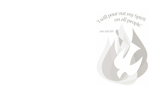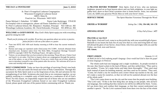#### St. Peter's Evangelical Lutheran Congregation Wisconsin Evangelical Lutheran Synod 1600 S. Main St. Fond du Lac, Wisconsin 54937-9235

Pastor Michael J. Zuberbier: 517-8808 Pastor Luke Boehringer: 579-8150 For hospital visits or emergencies, please call Pastor Zuberbier at 517-8808. St. Peter's Lutheran School, Mr. Benjamin J. Raddatz, Principal 922-1160 ext. 302 Winnebago Lutheran Academy, Mr. David Schroeder, Principal 921-4930 ext. 304

WELCOME TO GOD'S HOUSE May God's Holy Spirit equip you with everything good for doing his will!

#### Thank you for joining us for worship. If you have any questions about our service or practice, please feel free to ask one of the ushers or a pastor.

- Tune into KFIZ AM 1450 each Sunday morning at 8:00 to hear the current weekend's sermon.
- Hymns and songs are reprinted under OneLicense #A-713891. Artwork obtained from churchart.com. Scripture taken from The Holy Bible, Evangelical Heritage Version® (EHV®) copyright ©2018 The Wartburg Project. All rights reserved.
- Visitors, we are pleased that you have joined us this morning. Please fill out a Visitor Card and hand it to an usher. Feel free to inquire about our congregation through the pastors, one of the ushers, or one of the members. If you are a visitor from out of town, please be sure to introduce yourself to one of the pastors after the service. We welcome all of you to come and worship with us again.

HOLY COMMUNION Today we have the privilege of receiving Christ's true body and blood in, with and under the bread and wine of Holy Communion. Through this sacrament the Holy Spirit seals to us the forgiveness of sins, life and salvation for the strengthening of our faith. Scriptures also teach that as we commune together, we are publicly testifying to a complete unity of faith based on a confession of all of God's Word. For this reason, we respectfully request that all of those who are not members of the Wisconsin Evangelical Lutheran Synod or our sister Evangelical Lutheran Synod, please speak with one of the pastors before communing with us. Thank you.

A PRAYER BEFORE WORSHIP Holy Spirit, God of love, who our darkness brightens, poured on us from heaven above and our faith enlightens, in your light we gather here; show us that Christ's promise clear is Amen forever. Jesus, our ascended Lord, oh, fulfill your gracious Word; bless us with your favor! Amen.

| <b>SERVICE THEME</b>    | The Spirit Marches Victorious Through the Word |
|-------------------------|------------------------------------------------|
| <b>ORDER OF WORSHIP</b> | Setting One   154, 156-160, 161-170            |
| <b>OPENING HYMN</b>     | O Day Full of Grace $ 477$                     |

#### PRAYER OF THE DAY

Holy Spirit, God and Lord, come to us this joyful day with your sevenfold gift of grace. Rekindle in our hearts the holy fire of your love that in a true and living faith we may tell abroad the glory of our Savior, Jesus Christ, who lives and reigns with you and the Father, one God, now and forever.

All: Amen.

## FIRST LESSON Genesis 11:1-9

At Babel sin led to God confusing people's language. Grace would lead God to share the gospel in many languages on Pentecost.

The whole earth had one language and a single vocabulary. As people traveled in the east, they found a plain in the land of Shinar, and they settled there. <sup>3</sup>They said to one another, "Come, let's make bricks and bake them thoroughly." They used mud brick instead of stone for building material, and they used tar for mortar. <sup>4</sup>They said, "Come, let's build a city for ourselves and a tower whose top reaches to the sky, and let's make a name for ourselves, so that we will not be scattered abroad over the face of the whole earth."

<sup>5</sup>The LORD came down to see the city and the tower that the people were building. <sup>6</sup>The LORD said, "If this is the first thing they are doing as one people, who all have one language, then nothing that they intend to do will be too difficult for them. <sup>7</sup>Come, let's go down there and confuse their language, so that they cannot understand one another's speech." <sup>8</sup>So the LORD scattered them from there over the face of the whole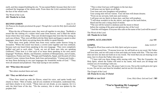earth, and they stopped building the city. <sup>9</sup>It was named Babel, because there the LORD confused the language of the whole earth. From there the LORD scattered them over the face of the whole earth.

The Word of the Lord. All: Thanks be to God.

#### SECOND LESSON Acts 2:1-21

On Pentecost the disciples proclaimed the gospel. Through their words the Holy Spirit unleashed his power

When the day of Pentecost came, they were all together in one place. <sup>2</sup>Suddenly a sound like the rushing of a violent wind came from heaven, and it filled the whole house where they were sitting. <sup>3</sup>They saw divided tongues that were like fire resting on each one of them. <sup>4</sup>They were all filled with the Holy Spirit and began to speak in other languages, since the Spirit was giving them the ability to speak fluently.

<sup>5</sup>Now there were godly Jewish men from every nation under heaven living in Jerusalem. <sup>6</sup>When this sound was heard, a crowd came together and was confused, because each one heard them speaking in his own language. <sup>7</sup>They were completely baffled and said to each other, "Look, are not all these men who are speaking Galileans? <sup>8</sup>Then how is it that each of us hears them speaking in his own native language? <sup>9</sup>Parthians, Medes, and Elamites; residents of Mesopotamia, and of Judea, Cappadocia, Pontus and Asia, <sup>10</sup>Phrygia and Pamphylia, Egypt, and the parts of Libya around Cyrene; visitors from Rome, both Jews and proselytes; <sup>11</sup>Cretans and Arabs we hear them declaring in our own languages the wonderful works of God." <sup>12</sup>They were all amazed and perplexed. They kept saying to one another,

#### All: "What does this mean?"

<sup>13</sup>But others mocked them and said,

## All: "They are full of new wine."

<sup>14</sup>Then Peter stood up with the Eleven, raised his voice, and spoke loudly and clearly to them: "Men of Judea, and all you residents of Jerusalem, understand this, and listen closely to my words. <sup>15</sup>These men are not drunk, as you suppose, for it is only the third hour of the day. <sup>16</sup>On the contrary, this is what was spoken by the prophet Joel:

 $17$ This is what God says will happen in the last days: I will pour out my Spirit on all flesh. Your sons and your daughters will prophesy. Your young men will see visions. Your old men will dream dreams.  $18$ Even on my servants, both men and women, I will pour out my Spirit in those days, and they will prophesy.  $19I$  will show wonders in the sky above, and signs on the earth below, blood and fire and a rising cloud of smoke.  $20$ The sun will be turned to darkness and the moon to blood before the coming of the great and glorious day of the Lord.  $21$ And this will happen: Everyone who calls on the name of the Lord will be saved."

The Word of the Lord. All: Thanks be to God.

# GOSPEL ACCLAMATION page 161

## GOSPEL John 14:23-27

Through his Word Jesus sends us the Holy Spirit and gives us peace.

Jesus answered him, "If anyone loves me, he will hold on to my word. My Father will love him, and we will come to him and make our home with him. <sup>24</sup>The one who does not love me does not hold on to my words. The word that you are hearing is not mine, but it is from the Father who sent me.

 $25$ "I have told you these things while staying with you.  $26$ But the Counselor, the Holy Spirit, whom the Father will send in my name, will teach you all things and remind you of everything I told you.

<sup>27"</sup>Peace I leave with you. My peace I give to you. Not as the world gives do I give to you. Do not let your heart be troubled, and do not let it be afraid.

The Gospel of the Lord. All: Praise be to you, O Christ!

HYMN OF THE DAY Come, Holy Ghost, God and Lord | 585

"You're Speaking My Language" Pastor Boehringer